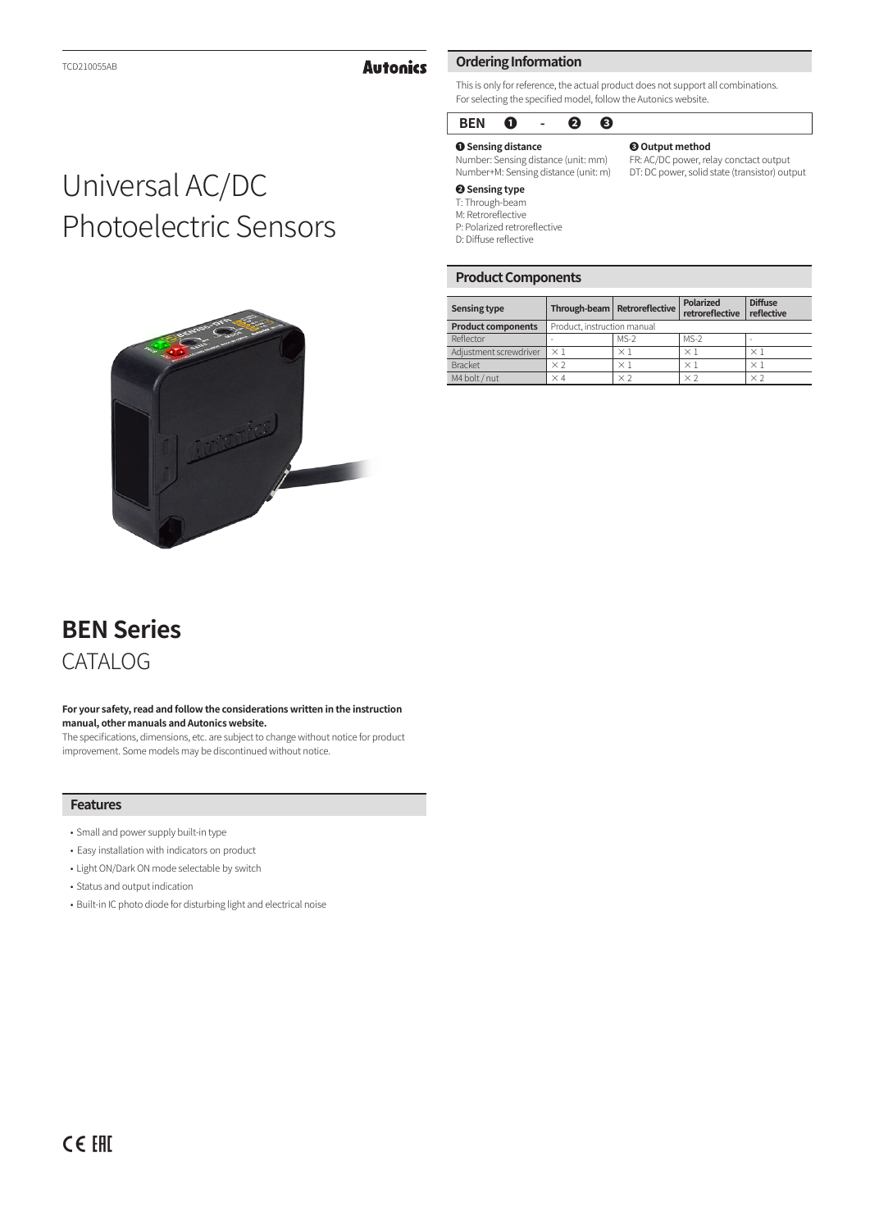### **Autonics**

### This is only for reference, the actual product does not support all combinations. For selecting the specified model, follow the Autonics website.

### **BEN ❶ - ❷ ❸**

**Ordering Information**

**❶ Sensing distance** Number: Sensing distance (unit: mm) Number+M: Sensing distance (unit: m)

### **❸ Output method**

FR: AC/DC power, relay conctact output DT: DC power, solid state (transistor) output

### **❷ Sensing type**

T: Through-beam M: Retroreflective

P: Polarized retroreflective

D: Diffuse reflective

### **Product Components**

| <b>Sensing type</b>       |                             | Through-beam   Retroreflective | Polarized<br>retroreflective | <b>Diffuse</b><br>reflective |
|---------------------------|-----------------------------|--------------------------------|------------------------------|------------------------------|
| <b>Product components</b> | Product, instruction manual |                                |                              |                              |
| Reflector                 |                             | $MS-2$                         | $MS-2$                       | -                            |
| Adjustment screwdriver    | $\times$ 1                  | $\times$ 1                     | $\times$ 1                   | $\times$ 1                   |
| <b>Bracket</b>            | $\times 2$                  | $\times$ 1                     | $\times$ 1                   | $\times$ 1                   |
| M4 bolt / nut             | $\times$ 4                  | $\times$ 2                     | × ?                          | $\times 2$                   |

# Universal AC/DC Photoelectric Sensors



## **BEN Series** CATALOG

#### **For your safety, read and follow the considerations written in the instruction manual, other manuals and Autonics website.**

The specifications, dimensions, etc. are subject to change without notice for product improvement. Some models may be discontinued without notice.

### **Features**

- Small and power supply built-in type
- • Easy installation with indicators on product
- Light ON/Dark ON mode selectable by switch
- Status and output indication
- Built-in IC photo diode for disturbing light and electrical noise